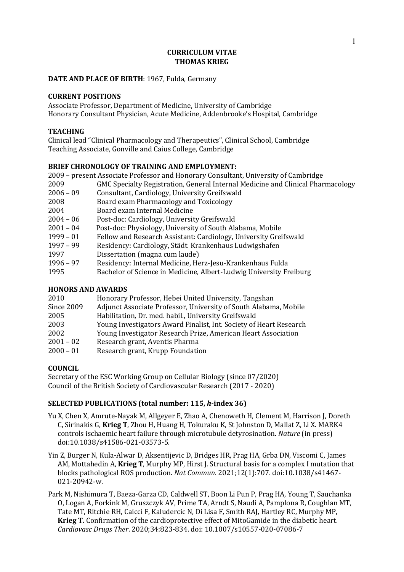#### **CURRICULUM VITAE THOMAS KRIEG**

## **DATE AND PLACE OF BIRTH:** 1967, Fulda, Germany

#### **CURRENT POSITIONS**

Associate Professor, Department of Medicine, University of Cambridge Honorary Consultant Physician, Acute Medicine, Addenbrooke's Hospital, Cambridge

## **TEACHING**

Clinical lead "Clinical Pharmacology and Therapeutics", Clinical School, Cambridge Teaching Associate, Gonville and Caius College, Cambridge

## **BRIEF CHRONOLOGY OF TRAINING AND EMPLOYMENT:**

|                          | 2009 - present Associate Professor and Honorary Consultant, University of Cambridge |  |
|--------------------------|-------------------------------------------------------------------------------------|--|
| 2009                     | GMC Specialty Registration, General Internal Medicine and Clinical Pharmacology     |  |
| $2006 - 09$              | Consultant, Cardiology, University Greifswald                                       |  |
| 2008                     | Board exam Pharmacology and Toxicology                                              |  |
| 2004                     | Board exam Internal Medicine                                                        |  |
| $2004 - 06$              | Post-doc: Cardiology, University Greifswald                                         |  |
| $2001 - 04$              | Post-doc: Physiology, University of South Alabama, Mobile                           |  |
| 1999 - 01                | Fellow and Research Assistant: Cardiology, University Greifswald                    |  |
| $1997 - 99$              | Residency: Cardiology, Städt. Krankenhaus Ludwigshafen                              |  |
| 1997                     | Dissertation (magna cum laude)                                                      |  |
| $1996 - 97$              | Residency: Internal Medicine, Herz-Jesu-Krankenhaus Fulda                           |  |
| 1995                     | Bachelor of Science in Medicine, Albert-Ludwig University Freiburg                  |  |
| <b>HONORS AND AWARDS</b> |                                                                                     |  |

| 2010              | Honorary Professor, Hebei United University, Tangshan              |
|-------------------|--------------------------------------------------------------------|
| <b>Since 2009</b> | Adjunct Associate Professor, University of South Alabama, Mobile   |
| 2005              | Habilitation, Dr. med. habil., University Greifswald               |
| 2003              | Young Investigators Award Finalist, Int. Society of Heart Research |
| 2002              | Young Investigator Research Prize, American Heart Association      |
| $2001 - 02$       | Research grant, Aventis Pharma                                     |
| $2000 - 01$       | Research grant, Krupp Foundation                                   |

# **COUNCIL**

Secretary of the ESC Working Group on Cellular Biology (since 07/2020) Council of the British Society of Cardiovascular Research (2017 - 2020)

# **SELECTED PUBLICATIONS (total number: 115,** *h***-index 36)**

- Yu X, Chen X, Amrute-Nayak M, Allgeyer E, Zhao A, Chenoweth H, Clement M, Harrison J, Doreth C, Sirinakis G, Krieg T, Zhou H, Huang H, Tokuraku K, St Johnston D, Mallat Z, Li X. MARK4 controls ischaemic heart failure through microtubule detyrosination. *Nature* (in press) doi:10.1038/s41586-021-03573-5.
- Yin Z, Burger N, Kula-Alwar D, Aksentijevic D, Bridges HR, Prag HA, Grba DN, Viscomi C, James AM, Mottahedin A, Krieg T, Murphy MP, Hirst J. Structural basis for a complex I mutation that blocks pathological ROS production. *Nat Commun*. 2021;12(1):707. doi:10.1038/s41467- 021-20942-w.
- Park M, Nishimura T, Baeza-Garza CD, Caldwell ST, Boon Li Pun P, Prag HA, Young T, Sauchanka O, Logan A, Forkink M, Gruszczyk AV, Prime TA, Arndt S, Naudi A, Pamplona R, Coughlan MT, Tate MT, Ritchie RH, Caicci F, Kaludercic N, Di Lisa F, Smith RAJ, Hartley RC, Murphy MP, **Krieg T.** Confirmation of the cardioprotective effect of MitoGamide in the diabetic heart. *Cardiovasc Drugs Ther*. 2020;34:823-834. doi: 10.1007/s10557-020-07086-7